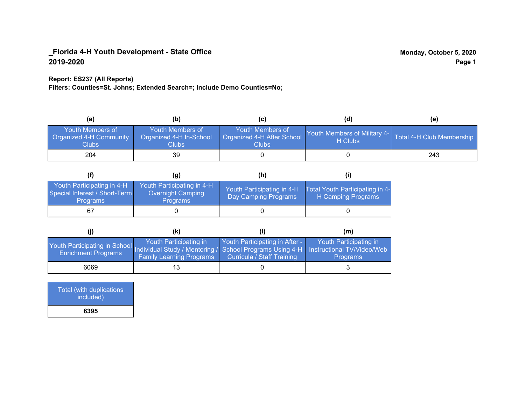## **Report: ES237 (All Reports)**

**Filters: Counties=St. Johns; Extended Search=; Include Demo Counties=No;**

| (a)                                                         | (b)                                                  |                                                         | (d)                                     | (e)                       |
|-------------------------------------------------------------|------------------------------------------------------|---------------------------------------------------------|-----------------------------------------|---------------------------|
| <b>Youth Members of</b><br>Organized 4-H Community<br>Clubs | Youth Members of<br>Organized 4-H In-School<br>Clubs | Youth Members of<br>Organized 4-H After School<br>Clubs | Youth Members of Military 4-<br>H Clubs | Total 4-H Club Membership |
| 204                                                         | 39                                                   |                                                         |                                         | 243                       |

|                                                                                | (g)                                                                | (h)                                                |                                                       |
|--------------------------------------------------------------------------------|--------------------------------------------------------------------|----------------------------------------------------|-------------------------------------------------------|
| Youth Participating in 4-H<br>Special Interest / Short-Term<br><b>Programs</b> | Youth Participating in 4-H<br><b>Overnight Camping</b><br>Programs | Youth Participating in 4-H<br>Day Camping Programs | Total Youth Participating in 4-<br>H Camping Programs |
|                                                                                |                                                                    |                                                    |                                                       |

|                                                                                                                                                 | (k)                                                       |                                                              | (m)                                       |
|-------------------------------------------------------------------------------------------------------------------------------------------------|-----------------------------------------------------------|--------------------------------------------------------------|-------------------------------------------|
| Youth Participating in School Individual Study / Mentoring / School Programs Using 4-H Instructional TV/Video/Web<br><b>Enrichment Programs</b> | Youth Participating in<br><b>Family Learning Programs</b> | Youth Participating in After -<br>Curricula / Staff Training | Youth Participating in<br><b>Programs</b> |
| 6069                                                                                                                                            | 13                                                        |                                                              |                                           |

Total (with duplications included) **6395**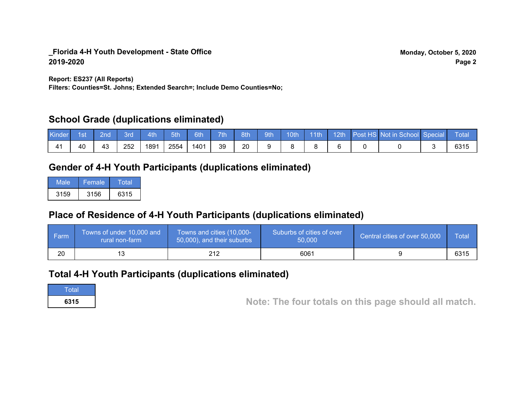**Report: ES237 (All Reports)**

**Filters: Counties=St. Johns; Extended Search=; Include Demo Counties=No;**

# **School Grade (duplications eliminated)**

| Kinde          | 1st | 2nd' | 8rd | 4th  | 5th  | 6th  | 7th | 8th | 9th | 10th | $-11$ th | 12th/ | Post HS Not in School Special | Total |
|----------------|-----|------|-----|------|------|------|-----|-----|-----|------|----------|-------|-------------------------------|-------|
| 4 <sup>1</sup> | 40  | 43   | 252 | 1891 | 2554 | 1401 | 39  | 20  |     |      |          |       |                               | 6315  |

# **Gender of 4-H Youth Participants (duplications eliminated)**

| Male | 'Female. | Total |
|------|----------|-------|
| 3159 | 3156     | 6315  |

# **Place of Residence of 4-H Youth Participants (duplications eliminated)**

| ∣ Farm | Towns of under 10,000 and<br>rural non-farm | Towns and cities (10,000-<br>50,000), and their suburbs | Suburbs of cities of over<br>50,000 | Central cities of over 50,000 | Total |
|--------|---------------------------------------------|---------------------------------------------------------|-------------------------------------|-------------------------------|-------|
| 20     |                                             |                                                         | 6061                                |                               | 6315  |

# **Total 4-H Youth Participants (duplications eliminated)**

**Total** 

**<sup>6315</sup> Note: The four totals on this page should all match.**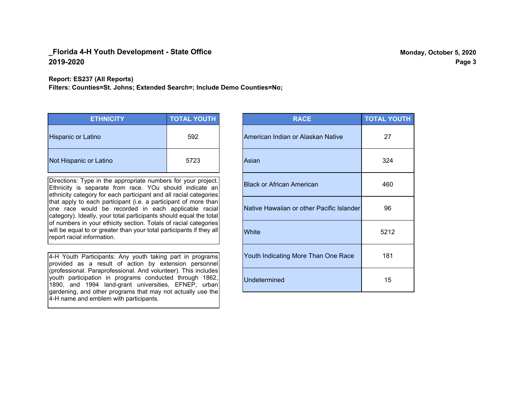#### **Report: ES237 (All Reports)**

**Filters: Counties=St. Johns; Extended Search=; Include Demo Counties=No;**

| <b>ETHNICITY</b>          | <b>TOTAL YOUTH</b> |
|---------------------------|--------------------|
| <b>Hispanic or Latino</b> | 592                |
| Not Hispanic or Latino    | 5723               |

Directions: Type in the appropriate numbers for your project. Ethnicity is separate from race. YOu should indicate an ethnicity category for each participant and all racial categories that apply to each participant (i.e. a participant of more than one race would be recorded in each applicable racial category). Ideally, your total participants should equal the total of numbers in your ethicity section. Totals of racial categories will be equal to or greater than your total participants if they all report racial information.

4-H Youth Participants: Any youth taking part in programs provided as a result of action by extension personnel (professional. Paraprofessional. And volunteer). This includes youth participation in programs conducted through 1862, 1890, and 1994 land-grant universities, EFNEP, urban gardening, and other programs that may not actually use the 4-H name and emblem with participants.

| <b>RACE</b>                               | <b>TOTAL YOUTH</b> |
|-------------------------------------------|--------------------|
| American Indian or Alaskan Native         | 27                 |
| Asian                                     | 324                |
| <b>Black or African American</b>          | 460                |
| Native Hawaiian or other Pacific Islander | 96                 |
| White                                     | 5212               |
| Youth Indicating More Than One Race       | 181                |
| <b>Undetermined</b>                       | 15                 |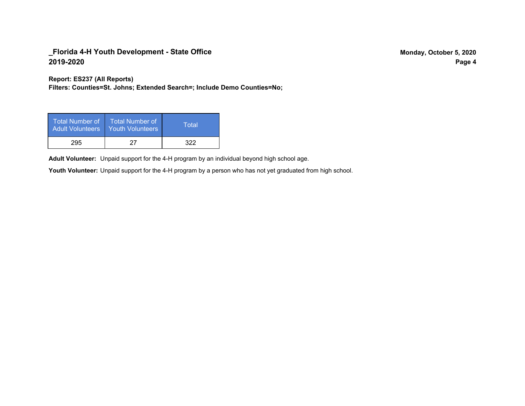**Report: ES237 (All Reports)**

**Filters: Counties=St. Johns; Extended Search=; Include Demo Counties=No;**

| Total Number of<br><b>Adult Volunteers</b> | <b>Total Number of</b><br><b>Youth Volunteers</b> | Total |
|--------------------------------------------|---------------------------------------------------|-------|
| 295                                        | 27                                                | 322   |

Adult Volunteer: Unpaid support for the 4-H program by an individual beyond high school age.

Youth Volunteer: Unpaid support for the 4-H program by a person who has not yet graduated from high school.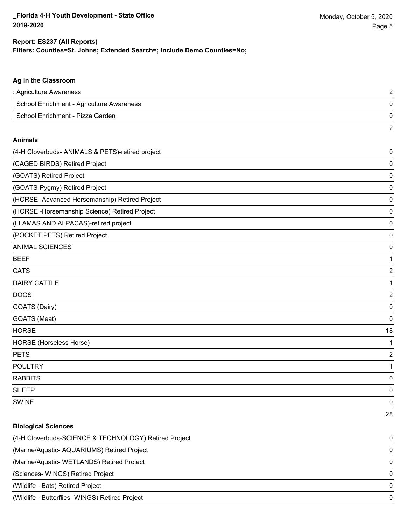### **Filters: Counties=St. Johns; Extended Search=; Include Demo Counties=No; Report: ES237 (All Reports)**

# **Ag in the Classroom** : Agriculture Awareness 2 \_School Enrichment - Agriculture Awareness 0 \_School Enrichment - Pizza Garden 0 2 **Animals** (4-H Cloverbuds- ANIMALS & PETS)-retired project 0 (CAGED BIRDS) Retired Project 0 (GOATS) Retired Project 0 (GOATS-Pygmy) Retired Project 0 (HORSE -Advanced Horsemanship) Retired Project 0 (HORSE -Horsemanship Science) Retired Project 0 (LLAMAS AND ALPACAS)-retired project 0 (POCKET PETS) Retired Project 0 ANIMAL SCIENCES 0 BEEF 1 CATS 22 and 22 and 22 and 23 and 23 and 23 and 23 and 23 and 23 and 23 and 23 and 24 and 25 and 26 and 26 and 26 and 26 and 26 and 26 and 26 and 26 and 26 and 26 and 26 and 26 and 26 and 26 and 26 and 26 and 26 and 26 and DAIRY CATTLE 1 DOGS 2 GOATS (Dairy) 0 GOATS (Meat) 0 HORSE 18 HORSE (Horseless Horse) 1 PETS 22 and 22 and 23 and 23 and 23 and 23 and 23 and 23 and 23 and 23 and 24 and 25 and 26 and 26 and 26 and 26 and 26 and 26 and 26 and 26 and 26 and 26 and 26 and 26 and 26 and 26 and 26 and 26 and 26 and 26 and 26 and POULTRY THE RESERVE OF THE RESERVE OF THE RESERVE OF THE RESERVE OF THE RESERVE OF THE RESERVE OF THE RESERVE O RABBITS 0 sheep to the control of the control of the control of the control of the control of the control of the control of the control of the control of the control of the control of the control of the control of the control of the SWINE 0 28

# **Biological Sciences** (4-H Cloverbuds-SCIENCE & TECHNOLOGY) Retired Project 0 (Marine/Aquatic- AQUARIUMS) Retired Project 0 (Marine/Aquatic- WETLANDS) Retired Project 0 (Sciences- WINGS) Retired Project 0 (Wildlife - Bats) Retired Project 0 (Wildlife - Butterflies- WINGS) Retired Project 0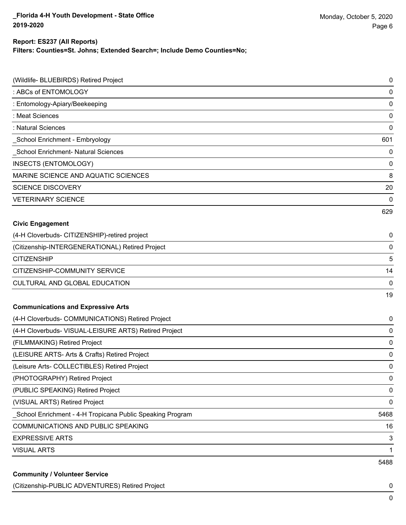## **Report: ES237 (All Reports)**

**Filters: Counties=St. Johns; Extended Search=; Include Demo Counties=No;**

| (Wildlife- BLUEBIRDS) Retired Project                     | 0    |
|-----------------------------------------------------------|------|
| : ABCs of ENTOMOLOGY                                      | 0    |
| : Entomology-Apiary/Beekeeping                            | 0    |
| : Meat Sciences                                           | 0    |
| : Natural Sciences                                        | 0    |
| School Enrichment - Embryology                            | 601  |
| <b>School Enrichment- Natural Sciences</b>                | 0    |
| <b>INSECTS (ENTOMOLOGY)</b>                               | 0    |
| MARINE SCIENCE AND AQUATIC SCIENCES                       | 8    |
| <b>SCIENCE DISCOVERY</b>                                  | 20   |
| <b>VETERINARY SCIENCE</b>                                 | 0    |
|                                                           | 629  |
| <b>Civic Engagement</b>                                   |      |
| (4-H Cloverbuds- CITIZENSHIP)-retired project             | 0    |
| (Citizenship-INTERGENERATIONAL) Retired Project           | 0    |
| <b>CITIZENSHIP</b>                                        | 5    |
| CITIZENSHIP-COMMUNITY SERVICE                             | 14   |
| CULTURAL AND GLOBAL EDUCATION                             | 0    |
|                                                           | 19   |
| <b>Communications and Expressive Arts</b>                 |      |
| (4-H Cloverbuds- COMMUNICATIONS) Retired Project          | 0    |
| (4-H Cloverbuds- VISUAL-LEISURE ARTS) Retired Project     | 0    |
| (FILMMAKING) Retired Project                              | 0    |
| (LEISURE ARTS- Arts & Crafts) Retired Project             | 0    |
| (Leisure Arts- COLLECTIBLES) Retired Project              | 0    |
| (PHOTOGRAPHY) Retired Project                             | 0    |
| (PUBLIC SPEAKING) Retired Project                         | 0    |
| (VISUAL ARTS) Retired Project                             | 0    |
| School Enrichment - 4-H Tropicana Public Speaking Program | 5468 |
| COMMUNICATIONS AND PUBLIC SPEAKING                        | 16   |
| <b>EXPRESSIVE ARTS</b>                                    | 3    |
| <b>VISUAL ARTS</b>                                        | 1    |
|                                                           | 5488 |
| <b>Community / Volunteer Service</b>                      |      |

### (Citizenship-PUBLIC ADVENTURES) Retired Project 0

0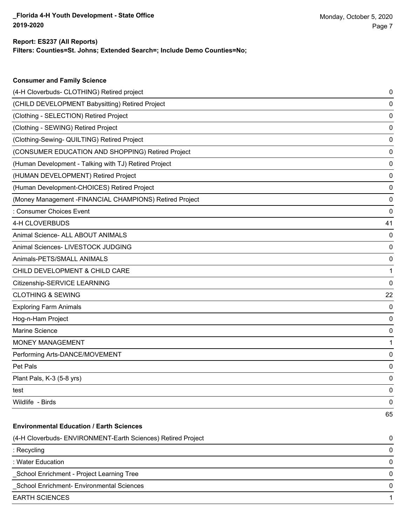**Consumer and Family Science**

## **Filters: Counties=St. Johns; Extended Search=; Include Demo Counties=No; Report: ES237 (All Reports)**

| (4-H Cloverbuds- CLOTHING) Retired project                   | 0  |
|--------------------------------------------------------------|----|
| (CHILD DEVELOPMENT Babysitting) Retired Project              | 0  |
| (Clothing - SELECTION) Retired Project                       | 0  |
| (Clothing - SEWING) Retired Project                          | 0  |
| (Clothing-Sewing- QUILTING) Retired Project                  | 0  |
| (CONSUMER EDUCATION AND SHOPPING) Retired Project            | 0  |
| (Human Development - Talking with TJ) Retired Project        | 0  |
| (HUMAN DEVELOPMENT) Retired Project                          | 0  |
| (Human Development-CHOICES) Retired Project                  | 0  |
| (Money Management -FINANCIAL CHAMPIONS) Retired Project      | 0  |
| : Consumer Choices Event                                     | 0  |
| 4-H CLOVERBUDS                                               | 41 |
| Animal Science- ALL ABOUT ANIMALS                            | 0  |
| Animal Sciences- LIVESTOCK JUDGING                           | 0  |
| Animals-PETS/SMALL ANIMALS                                   | 0  |
| CHILD DEVELOPMENT & CHILD CARE                               | 1  |
| Citizenship-SERVICE LEARNING                                 | 0  |
| <b>CLOTHING &amp; SEWING</b>                                 | 22 |
| <b>Exploring Farm Animals</b>                                | 0  |
| Hog-n-Ham Project                                            | 0  |
| Marine Science                                               | 0  |
| MONEY MANAGEMENT                                             | 1  |
| Performing Arts-DANCE/MOVEMENT                               | 0  |
| Pet Pals                                                     | 0  |
| Plant Pals, K-3 (5-8 yrs)                                    | 0  |
| test                                                         | 0  |
| Wildlife - Birds                                             | 0  |
|                                                              | 65 |
| <b>Environmental Education / Earth Sciences</b>              |    |
| (4-H Cloverbuds- ENVIRONMENT-Earth Sciences) Retired Project | 0  |
| : Recycling                                                  | 0  |
| : Water Education                                            | 0  |
| School Enrichment - Project Learning Tree                    | 0  |
| School Enrichment- Environmental Sciences                    | 0  |
| <b>EARTH SCIENCES</b>                                        | 1  |
|                                                              |    |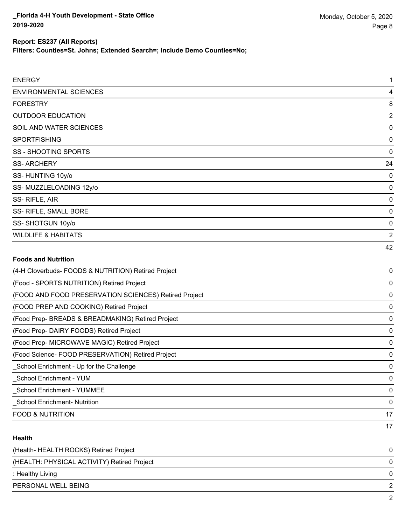### **Report: ES237 (All Reports)**

**Filters: Counties=St. Johns; Extended Search=; Include Demo Counties=No;**

| <b>ENERGY</b>                                         | 1              |
|-------------------------------------------------------|----------------|
| <b>ENVIRONMENTAL SCIENCES</b>                         | 4              |
| <b>FORESTRY</b>                                       | 8              |
| <b>OUTDOOR EDUCATION</b>                              | $\overline{2}$ |
| SOIL AND WATER SCIENCES                               | $\Omega$       |
| <b>SPORTFISHING</b>                                   | 0              |
| <b>SS - SHOOTING SPORTS</b>                           | $\mathbf 0$    |
| <b>SS-ARCHERY</b>                                     | 24             |
| SS-HUNTING 10y/o                                      | 0              |
| SS- MUZZLELOADING 12y/o                               | 0              |
| SS-RIFLE, AIR                                         | 0              |
| SS- RIFLE, SMALL BORE                                 | $\mathbf 0$    |
| SS-SHOTGUN 10y/o                                      | 0              |
| <b>WILDLIFE &amp; HABITATS</b>                        | $\overline{2}$ |
|                                                       | 42             |
| <b>Foods and Nutrition</b>                            |                |
| (4-H Cloverbuds- FOODS & NUTRITION) Retired Project   | 0              |
| (Food - SPORTS NUTRITION) Retired Project             | 0              |
| (FOOD AND FOOD PRESERVATION SCIENCES) Retired Project | 0              |
| (FOOD PREP AND COOKING) Retired Project               | 0              |
| (Food Prep- BREADS & BREADMAKING) Retired Project     | 0              |
| (Food Prep- DAIRY FOODS) Retired Project              | 0              |
| (Food Prep- MICROWAVE MAGIC) Retired Project          | $\mathbf 0$    |

(Food Science- FOOD PRESERVATION) Retired Project 0 \_School Enrichment - Up for the Challenge 0

\_School Enrichment - YUM 0 \_School Enrichment - YUMMEE 0 \_School Enrichment- Nutrition 0 FOOD & NUTRITION 17

### **Health**

| (Health-HEALTH ROCKS) Retired Project       |              |
|---------------------------------------------|--------------|
| (HEALTH: PHYSICAL ACTIVITY) Retired Project |              |
| : Healthy Living                            | <sup>n</sup> |
| PERSONAL WELL BEING                         |              |
|                                             |              |

17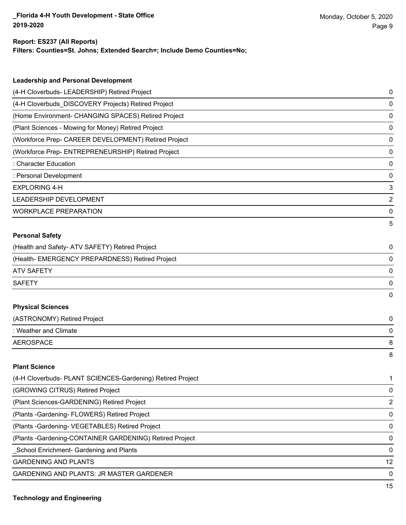### **Report: ES237 (All Reports)**

**Filters: Counties=St. Johns; Extended Search=; Include Demo Counties=No;**

| <b>Leadership and Personal Development</b>           |   |
|------------------------------------------------------|---|
| (4-H Cloverbuds- LEADERSHIP) Retired Project         | 0 |
| (4-H Cloverbuds DISCOVERY Projects) Retired Project  | 0 |
| (Home Environment- CHANGING SPACES) Retired Project  | 0 |
| (Plant Sciences - Mowing for Money) Retired Project  | 0 |
| (Workforce Prep- CAREER DEVELOPMENT) Retired Project | 0 |
| (Workforce Prep- ENTREPRENEURSHIP) Retired Project   | 0 |
| : Character Education                                | 0 |
| : Personal Development                               | 0 |
| <b>EXPLORING 4-H</b>                                 | 3 |
| LEADERSHIP DEVELOPMENT                               | 2 |
| <b>WORKPLACE PREPARATION</b>                         | 0 |
|                                                      | 5 |
| <b>Personal Safety</b>                               |   |
| (Health and Safety- ATV SAFETY) Retired Project      | 0 |
| (Health- EMERGENCY PREPARDNESS) Retired Project      | 0 |
| <b>ATV SAFETY</b>                                    | 0 |
| <b>SAFETY</b>                                        | 0 |
|                                                      | 0 |
| <b>Physical Sciences</b>                             |   |
| (ASTRONOMY) Retired Project                          | 0 |
| : Weather and Climate                                | 0 |
| <b>AEROSPACE</b>                                     | 8 |
|                                                      | 8 |
| <b>Plant Science</b>                                 |   |

| (4-H Cloverbuds- PLANT SCIENCES-Gardening) Retired Project |               |
|------------------------------------------------------------|---------------|
| (GROWING CITRUS) Retired Project                           | 0             |
| (Plant Sciences-GARDENING) Retired Project                 | $\mathcal{P}$ |
| (Plants - Gardening - FLOWERS) Retired Project             | 0             |
| (Plants - Gardening - VEGETABLES) Retired Project          | $\Omega$      |
| (Plants - Gardening-CONTAINER GARDENING) Retired Project   | $\Omega$      |
| School Enrichment- Gardening and Plants                    | $\Omega$      |
| <b>GARDENING AND PLANTS</b>                                | 12            |
| <b>GARDENING AND PLANTS: JR MASTER GARDENER</b>            | $\Omega$      |
|                                                            | 4 E           |